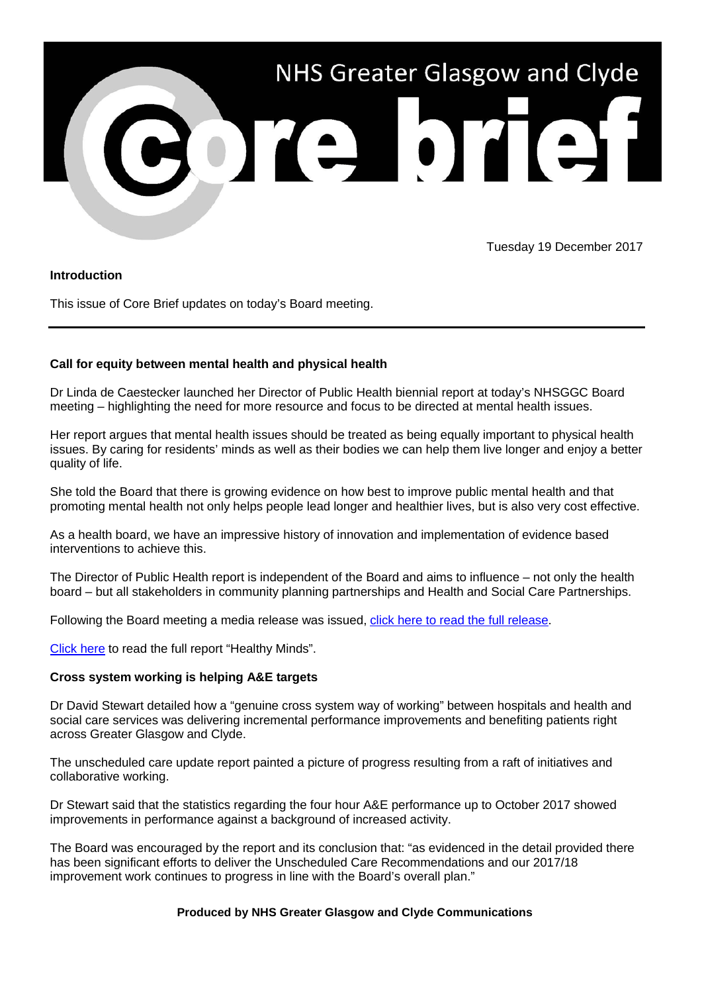

Tuesday 19 December 2017

## **Introduction**

This issue of Core Brief updates on today's Board meeting.

## **Call for equity between mental health and physical health**

Dr Linda de Caestecker launched her Director of Public Health biennial report at today's NHSGGC Board meeting – highlighting the need for more resource and focus to be directed at mental health issues.

Her report argues that mental health issues should be treated as being equally important to physical health issues. By caring for residents' minds as well as their bodies we can help them live longer and enjoy a better quality of life.

She told the Board that there is growing evidence on how best to improve public mental health and that promoting mental health not only helps people lead longer and healthier lives, but is also very cost effective.

As a health board, we have an impressive history of innovation and implementation of evidence based interventions to achieve this.

The Director of Public Health report is independent of the Board and aims to influence – not only the health board – but all stakeholders in community planning partnerships and Health and Social Care Partnerships.

Following the Board meeting a media release was issued, [click here to read the full release.](http://www.nhsggc.org.uk/about-us/media-centre/news/2017/12/director-of-public-healths-biennial-report/)

[Click here](http://www.nhsggc.org.uk/media/245266/08-public-heralth-report-healthy-minds.pdf) to read the full report "Healthy Minds".

## **Cross system working is helping A&E targets**

Dr David Stewart detailed how a "genuine cross system way of working" between hospitals and health and social care services was delivering incremental performance improvements and benefiting patients right across Greater Glasgow and Clyde.

The unscheduled care update report painted a picture of progress resulting from a raft of initiatives and collaborative working.

Dr Stewart said that the statistics regarding the four hour A&E performance up to October 2017 showed improvements in performance against a background of increased activity.

The Board was encouraged by the report and its conclusion that: "as evidenced in the detail provided there has been significant efforts to deliver the Unscheduled Care Recommendations and our 2017/18 improvement work continues to progress in line with the Board's overall plan."

## **Produced by NHS Greater Glasgow and Clyde Communications**